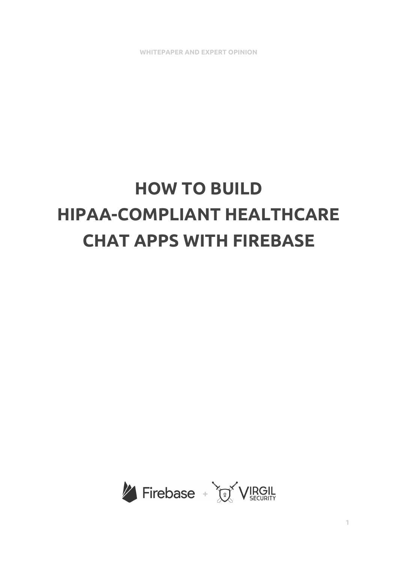**WHITEPAPER AND EXPERT OPINION**

# **HOW TO BUILD HIPAA-COMPLIANT HEALTHCARE CHAT APPS WITH FIREBASE**

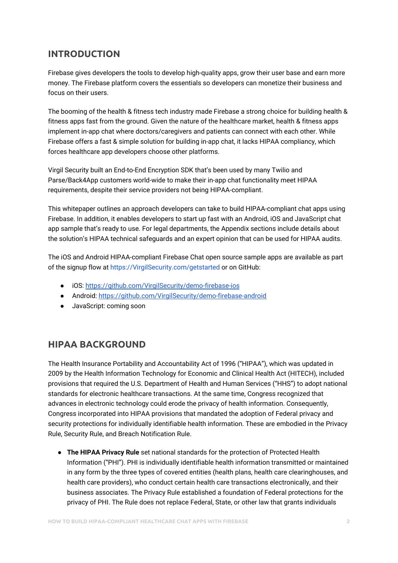## **INTRODUCTION**

Firebase gives developers the tools to develop high-quality apps, grow their user base and earn more money. The Firebase platform covers the essentials so developers can monetize their business and focus on their users.

The booming of the health & fitness tech industry made Firebase a strong choice for building health & fitness apps fast from the ground. Given the nature of the healthcare market, health & fitness apps implement in-app chat where doctors/caregivers and patients can connect with each other. While Firebase offers a fast & simple solution for building in-app chat, it lacks HIPAA compliancy, which forces healthcare app developers choose other platforms.

Virgil Security built an End-to-End Encryption SDK that's been used by many Twilio and Parse/Back4App customers world-wide to make their in-app chat functionality meet HIPAA requirements, despite their service providers not being HIPAA-compliant.

This whitepaper outlines an approach developers can take to build HIPAA-compliant chat apps using Firebase. In addition, it enables developers to start up fast with an Android, iOS and JavaScript chat app sample that's ready to use. For legal departments, the Appendix sections include details about the solution's HIPAA technical safeguards and an expert opinion that can be used for HIPAA audits.

The iOS and Android HIPAA-compliant Firebase Chat open source sample apps are available as part of the signup flow at [https://VirgilSecurity.com/getstarted](https://virgilsecurity.com/getstarted) or on GitHub:

- iOS: <https://github.com/VirgilSecurity/demo-firebase-ios>
- Android: <https://github.com/VirgilSecurity/demo-firebase-android>
- JavaScript: coming soon

### **HIPAA BACKGROUND**

The Health Insurance Portability and Accountability Act of 1996 ("HIPAA"), which was updated in 2009 by the Health Information Technology for Economic and Clinical Health Act (HITECH), included provisions that required the U.S. Department of Health and Human Services ("HHS") to adopt national standards for electronic healthcare transactions. At the same time, Congress recognized that advances in electronic technology could erode the privacy of health information. Consequently, Congress incorporated into HIPAA provisions that mandated the adoption of Federal privacy and security protections for individually identifiable health information. These are embodied in the Privacy Rule, Security Rule, and Breach Notification Rule.

● **The HIPAA Privacy Rule** set national standards for the protection of Protected Health Information ("PHI"). PHI is individually identifiable health information transmitted or maintained in any form by the three types of covered entities (health plans, health care clearinghouses, and health care providers), who conduct certain health care transactions electronically, and their business associates. The Privacy Rule established a foundation of Federal protections for the privacy of PHI. The Rule does not replace Federal, State, or other law that grants individuals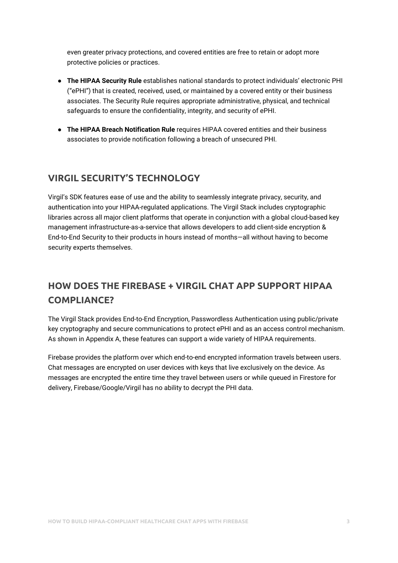even greater privacy protections, and covered entities are free to retain or adopt more protective policies or practices.

- **The HIPAA Security Rule** establishes national standards to protect individuals' electronic PHI ("ePHI") that is created, received, used, or maintained by a covered entity or their business associates. The Security Rule requires appropriate administrative, physical, and technical safeguards to ensure the confidentiality, integrity, and security of ePHI.
- **The HIPAA Breach Notification Rule** requires HIPAA covered entities and their business associates to provide notification following a breach of unsecured PHI.

## **VIRGIL SECURITY'S TECHNOLOGY**

Virgil's SDK features ease of use and the ability to seamlessly integrate privacy, security, and authentication into your HIPAA-regulated applications. The Virgil Stack includes cryptographic libraries across all major client platforms that operate in conjunction with a global cloud-based key management infrastructure-as-a-service that allows developers to add client-side encryption & End-to-End Security to their products in hours instead of months—all without having to become security experts themselves.

# **HOW DOES THE FIREBASE + VIRGIL CHAT APP SUPPORT HIPAA COMPLIANCE?**

The Virgil Stack provides End-to-End Encryption, Passwordless Authentication using public/private key cryptography and secure communications to protect ePHI and as an access control mechanism. As shown in Appendix A, these features can support a wide variety of HIPAA requirements.

Firebase provides the platform over which end-to-end encrypted information travels between users. Chat messages are encrypted on user devices with keys that live exclusively on the device. As messages are encrypted the entire time they travel between users or while queued in Firestore for delivery, Firebase/Google/Virgil has no ability to decrypt the PHI data.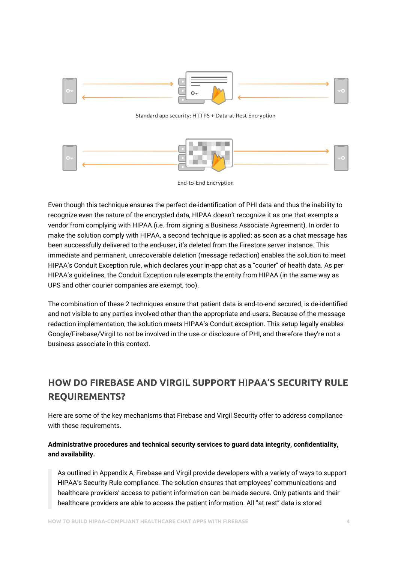

#### Standard app security: HTTPS + Data-at-Rest Encryption



End-to-End Encryption

Even though this technique ensures the perfect de-identification of PHI data and thus the inability to recognize even the nature of the encrypted data, HIPAA doesn't recognize it as one that exempts a vendor from complying with HIPAA (i.e. from signing a Business Associate Agreement). In order to make the solution comply with HIPAA, a second technique is applied: as soon as a chat message has been successfully delivered to the end-user, it's deleted from the Firestore server instance. This immediate and permanent, unrecoverable deletion (message redaction) enables the solution to meet HIPAA's Conduit Exception rule, which declares your in-app chat as a "courier" of health data. As per HIPAA's guidelines, the Conduit Exception rule exempts the entity from HIPAA (in the same way as UPS and other courier companies are exempt, too).

The combination of these 2 techniques ensure that patient data is end-to-end secured, is de-identified and not visible to any parties involved other than the appropriate end-users. Because of the message redaction implementation, the solution meets HIPAA's Conduit exception. This setup legally enables Google/Firebase/Virgil to not be involved in the use or disclosure of PHI, and therefore they're not a business associate in this context.

# **HOW DO FIREBASE AND VIRGIL SUPPORT HIPAA'S SECURITY RULE REQUIREMENTS?**

Here are some of the key mechanisms that Firebase and Virgil Security offer to address compliance with these requirements.

#### **Administrative procedures and technical security services to guard data integrity, confidentiality, and availability.**

As outlined in Appendix A, Firebase and Virgil provide developers with a variety of ways to support HIPAA's Security Rule compliance. The solution ensures that employees' communications and healthcare providers' access to patient information can be made secure. Only patients and their healthcare providers are able to access the patient information. All "at rest" data is stored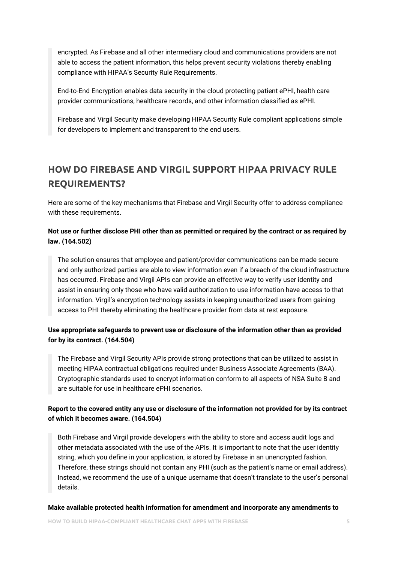encrypted. As Firebase and all other intermediary cloud and communications providers are not able to access the patient information, this helps prevent security violations thereby enabling compliance with HIPAA's Security Rule Requirements.

End-to-End Encryption enables data security in the cloud protecting patient ePHI, health care provider communications, healthcare records, and other information classified as ePHI.

Firebase and Virgil Security make developing HIPAA Security Rule compliant applications simple for developers to implement and transparent to the end users.

# **HOW DO FIREBASE AND VIRGIL SUPPORT HIPAA PRIVACY RULE REQUIREMENTS?**

Here are some of the key mechanisms that Firebase and Virgil Security offer to address compliance with these requirements.

#### Not use or further disclose PHI other than as permitted or required by the contract or as required by **law. (164.502)**

The solution ensures that employee and patient/provider communications can be made secure and only authorized parties are able to view information even if a breach of the cloud infrastructure has occurred. Firebase and Virgil APIs can provide an effective way to verify user identity and assist in ensuring only those who have valid authorization to use information have access to that information. Virgil's encryption technology assists in keeping unauthorized users from gaining access to PHI thereby eliminating the healthcare provider from data at rest exposure.

#### **Use appropriate safeguards to prevent use or disclosure of the information other than as provided for by its contract. (164.504)**

The Firebase and Virgil Security APIs provide strong protections that can be utilized to assist in meeting HIPAA contractual obligations required under Business Associate Agreements (BAA). Cryptographic standards used to encrypt information conform to all aspects of NSA Suite B and are suitable for use in healthcare ePHI scenarios.

#### Report to the covered entity any use or disclosure of the information not provided for by its contract **of which it becomes aware. (164.504)**

Both Firebase and Virgil provide developers with the ability to store and access audit logs and other metadata associated with the use of the APIs. It is important to note that the user identity string, which you define in your application, is stored by Firebase in an unencrypted fashion. Therefore, these strings should not contain any PHI (such as the patient's name or email address). Instead, we recommend the use of a unique username that doesn't translate to the user's personal details.

#### **Make available protected health information for amendment and incorporate any amendments to**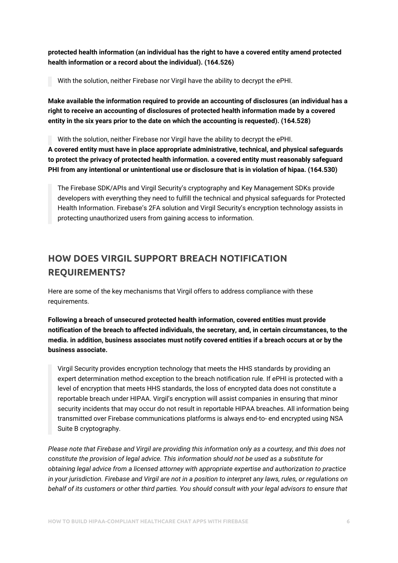**protected health information (an individual has the right to have a covered entity amend protected health information or a record about the individual). (164.526)**

With the solution, neither Firebase nor Virgil have the ability to decrypt the ePHI.

**Make available the information required to provide an accounting of disclosures (an individual has a right to receive an accounting of disclosures of protected health information made by a covered entity in the six years prior to the date on which the accounting is requested). (164.528)**

With the solution, neither Firebase nor Virgil have the ability to decrypt the ePHI. **A covered entity must have in place appropriate administrative, technical, and physical safeguards to protect the privacy of protected health information. a covered entity must reasonably safeguard PHI from any intentional or unintentional use or disclosure that is in violation of hipaa. (164.530)**

The Firebase SDK/APIs and Virgil Security's cryptography and Key Management SDKs provide developers with everything they need to fulfill the technical and physical safeguards for Protected Health Information. Firebase's 2FA solution and Virgil Security's encryption technology assists in protecting unauthorized users from gaining access to information.

# **HOW DOES VIRGIL SUPPORT BREACH NOTIFICATION REQUIREMENTS?**

Here are some of the key mechanisms that Virgil offers to address compliance with these requirements.

**Following a breach of unsecured protected health information, covered entities must provide notification of the breach to affected individuals, the secretary, and, in certain circumstances, to the media. in addition, business associates must notify covered entities if a breach occurs at or by the business associate.**

Virgil Security provides encryption technology that meets the HHS standards by providing an expert determination method exception to the breach notification rule. If ePHI is protected with a level of encryption that meets HHS standards, the loss of encrypted data does not constitute a reportable breach under HIPAA. Virgil's encryption will assist companies in ensuring that minor security incidents that may occur do not result in reportable HIPAA breaches. All information being transmitted over Firebase communications platforms is always end-to- end encrypted using NSA Suite B cryptography.

Please note that Firebase and Virgil are providing this information only as a courtesy, and this does not *constitute the provision of legal advice. This information should not be used as a substitute for obtaining legal advice from a licensed attorney with appropriate expertise and authorization to practice* in your jurisdiction. Firebase and Virgil are not in a position to interpret any laws, rules, or regulations on behalf of its customers or other third parties. You should consult with your legal advisors to ensure that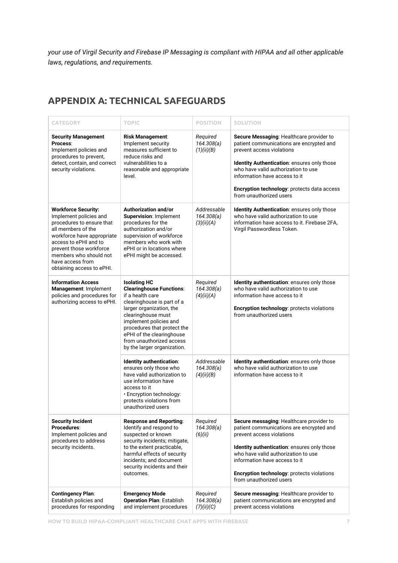*your use of Virgil Security and Firebase IP Messaging is compliant with HIPAA and all other applicable laws, regulations, and requirements.*

### **APPENDIX A: TECHNICAL SAFEGUARDS**

| <b>CATEGORY</b>                                                                                                                                                                                                                                                      | <b>TOPIC</b>                                                                                                                                                                                                                                                                                                | <b>POSITION</b>                         | <b>SOLUTION</b>                                                                                                                                                                                                                                                                                                    |
|----------------------------------------------------------------------------------------------------------------------------------------------------------------------------------------------------------------------------------------------------------------------|-------------------------------------------------------------------------------------------------------------------------------------------------------------------------------------------------------------------------------------------------------------------------------------------------------------|-----------------------------------------|--------------------------------------------------------------------------------------------------------------------------------------------------------------------------------------------------------------------------------------------------------------------------------------------------------------------|
| <b>Security Management</b><br>Process:<br>Implement policies and<br>procedures to prevent,<br>detect, contain, and correct<br>security violations.                                                                                                                   | <b>Risk Management:</b><br>Implement security<br>measures sufficient to<br>reduce risks and<br>vulnerabilities to a<br>reasonable and appropriate<br>level.                                                                                                                                                 | Required<br>164.308(a)<br>(1)(ii)(B)    | Secure Messaging: Healthcare provider to<br>patient communications are encrypted and<br>prevent access violations<br>Identity Authentication: ensures only those<br>who have valid authorization to use<br>information have access to it<br>Encryption technology: protects data access<br>from unauthorized users |
| <b>Workforce Security:</b><br>Implement policies and<br>procedures to ensure that<br>all members of the<br>workforce have appropriate<br>access to ePHI and to<br>prevent those workforce<br>members who should not<br>have access from<br>obtaining access to ePHI. | Authorization and/or<br>Supervision: Implement<br>procedures for the<br>authorization and/or<br>supervision of workforce<br>members who work with<br>ePHI or in locations where<br>ePHI might be accessed.                                                                                                  | Addressable<br>164.308(a)<br>(3)(ii)(A) | Identity Authentication: ensures only those<br>who have valid authorization to use<br>information have access to it. Firebase 2FA,<br>Virgil Passwordless Token.                                                                                                                                                   |
| <b>Information Access</b><br>Management: Implement<br>policies and procedures for<br>authorizing access to ePHI.                                                                                                                                                     | <b>Isolating HC</b><br><b>Clearinghouse Functions:</b><br>if a health care<br>clearinghouse is part of a<br>larger organization, the<br>clearinghouse must<br>implement policies and<br>procedures that protect the<br>ePHI of the clearinghouse<br>from unauthorized access<br>by the larger organization. | Required<br>164.308(a)<br>(4)(ii)(A)    | Identity authentication: ensures only those<br>who have valid authorization to use<br>information have access to it<br>Encryption technology: protects violations<br>from unauthorized users                                                                                                                       |
|                                                                                                                                                                                                                                                                      | Identity authentication:<br>ensures only those who<br>have valid authorization to<br>use information have<br>access to it<br>· Encryption technology:<br>protects violations from<br>unauthorized users                                                                                                     | Addressable<br>164.308(a)<br>(4)(ii)(B) | Identity authentication: ensures only those<br>who have valid authorization to use<br>information have access to it                                                                                                                                                                                                |
| <b>Security Incident</b><br>Procedures:<br>Implement policies and<br>procedures to address<br>security incidents.                                                                                                                                                    | <b>Response and Reporting:</b><br>Identify and respond to<br>suspected or known<br>security incidents; mitigate,<br>to the extent practicable,<br>harmful effects of security<br>incidents; and document<br>security incidents and their<br>outcomes.                                                       | Required<br>164.308(a)<br>(6)(ii)       | Secure messaging: Healthcare provider to<br>patient communications are encrypted and<br>prevent access violations<br>Identity authentication: ensures only those<br>who have valid authorization to use<br>information have access to it<br>Encryption technology: protects violations<br>from unauthorized users  |
| <b>Contingency Plan:</b><br>Establish policies and<br>procedures for responding                                                                                                                                                                                      | <b>Emergency Mode</b><br><b>Operation Plan: Establish</b><br>and implement procedures                                                                                                                                                                                                                       | Required<br>164.308(a)<br>(7)(ii)(C)    | Secure messaging: Healthcare provider to<br>patient communications are encrypted and<br>prevent access violations                                                                                                                                                                                                  |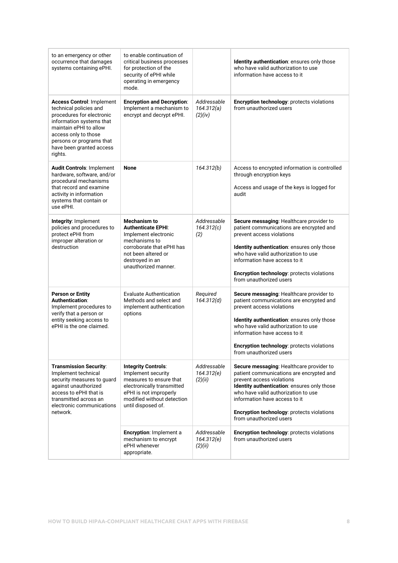| to an emergency or other<br>occurrence that damages<br>systems containing ePHI.                                                                                                                                                          | to enable continuation of<br>critical business processes<br>for protection of the<br>security of ePHI while<br>operating in emergency<br>mode.                                           |                                      | Identity authentication: ensures only those<br>who have valid authorization to use<br>information have access to it                                                                                                                                                                                               |
|------------------------------------------------------------------------------------------------------------------------------------------------------------------------------------------------------------------------------------------|------------------------------------------------------------------------------------------------------------------------------------------------------------------------------------------|--------------------------------------|-------------------------------------------------------------------------------------------------------------------------------------------------------------------------------------------------------------------------------------------------------------------------------------------------------------------|
| <b>Access Control: Implement</b><br>technical policies and<br>procedures for electronic<br>information systems that<br>maintain ePHI to allow<br>access only to those<br>persons or programs that<br>have been granted access<br>rights. | <b>Encryption and Decryption:</b><br>Implement a mechanism to<br>encrypt and decrypt ePHI.                                                                                               | Addressable<br>164.312(a)<br>(2)(iv) | <b>Encryption technology: protects violations</b><br>from unauthorized users                                                                                                                                                                                                                                      |
| Audit Controls: Implement<br>hardware, software, and/or<br>procedural mechanisms<br>that record and examine<br>activity in information<br>systems that contain or<br>use ePHI.                                                           | <b>None</b>                                                                                                                                                                              | 164.312(b)                           | Access to encrypted information is controlled<br>through encryption keys<br>Access and usage of the keys is logged for<br>audit                                                                                                                                                                                   |
| Integrity: Implement<br>policies and procedures to<br>protect ePHI from<br>improper alteration or<br>destruction                                                                                                                         | <b>Mechanism to</b><br><b>Authenticate EPHI:</b><br>Implement electronic<br>mechanisms to<br>corroborate that ePHI has<br>not been altered or<br>destroyed in an<br>unauthorized manner. | Addressable<br>164.312(c)<br>(2)     | Secure messaging: Healthcare provider to<br>patient communications are encrypted and<br>prevent access violations<br>Identity authentication: ensures only those<br>who have valid authorization to use<br>information have access to it<br>Encryption technology: protects violations<br>from unauthorized users |
| <b>Person or Entity</b><br>Authentication:<br>Implement procedures to<br>verify that a person or<br>entity seeking access to<br>ePHI is the one claimed.                                                                                 | <b>Evaluate Authentication</b><br>Methods and select and<br>implement authentication<br>options                                                                                          | Required<br>164.312(d)               | Secure messaging: Healthcare provider to<br>patient communications are encrypted and<br>prevent access violations<br>Identity authentication: ensures only those<br>who have valid authorization to use<br>information have access to it<br>Encryption technology: protects violations<br>from unauthorized users |
| <b>Transmission Security:</b><br>Implement technical<br>security measures to guard<br>against unauthorized<br>access to ePHI that is<br>transmitted across an<br>electronic communications<br>network.                                   | <b>Integrity Controls:</b><br>Implement security<br>measures to ensure that<br>electronically transmitted<br>ePHI is not improperly<br>modified without detection<br>until disposed of.  | Addressable<br>164.312(e)<br>(2)(ii) | Secure messaging: Healthcare provider to<br>patient communications are encrypted and<br>prevent access violations<br>Identity authentication: ensures only those<br>who have valid authorization to use<br>information have access to it<br>Encryption technology: protects violations<br>from unauthorized users |
|                                                                                                                                                                                                                                          | Encryption: Implement a<br>mechanism to encrypt<br>ePHI whenever<br>appropriate.                                                                                                         | Addressable<br>164.312(e)<br>(2)(ii) | Encryption technology: protects violations<br>from unauthorized users                                                                                                                                                                                                                                             |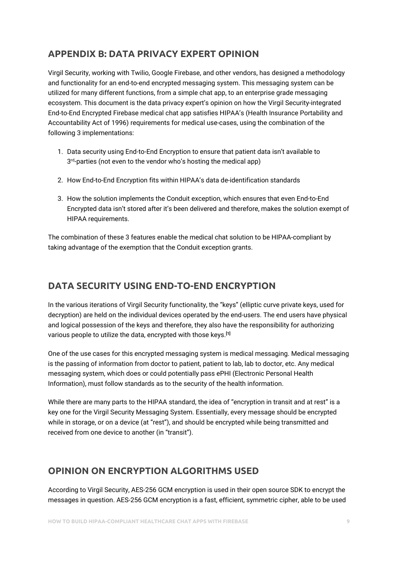# **APPENDIX B: DATA PRIVACY EXPERT OPINION**

Virgil Security, working with Twilio, Google Firebase, and other vendors, has designed a methodology and functionality for an end-to-end encrypted messaging system. This messaging system can be utilized for many different functions, from a simple chat app, to an enterprise grade messaging ecosystem. This document is the data privacy expert's opinion on how the Virgil Security-integrated End-to-End Encrypted Firebase medical chat app satisfies HIPAA's (Health Insurance Portability and Accountability Act of 1996) requirements for medical use-cases, using the combination of the following 3 implementations:

- 1. Data security using End-to-End Encryption to ensure that patient data isn't available to  $3^{rd}$ -parties (not even to the vendor who's hosting the medical app)
- 2. How End-to-End Encryption fits within HIPAA's data de-identification standards
- 3. How the solution implements the Conduit exception, which ensures that even End-to-End Encrypted data isn't stored after it's been delivered and therefore, makes the solution exempt of HIPAA requirements.

The combination of these 3 features enable the medical chat solution to be HIPAA-compliant by taking advantage of the exemption that the Conduit exception grants.

## **DATA SECURITY USING END-TO-END ENCRYPTION**

In the various iterations of Virgil Security functionality, the "keys" (elliptic curve private keys, used for decryption) are held on the individual devices operated by the end-users. The end users have physical and logical possession of the keys and therefore, they also have the responsibility for authorizing various people to utilize the data, encrypted with those keys. **[1]**

One of the use cases for this encrypted messaging system is medical messaging. Medical messaging is the passing of information from doctor to patient, patient to lab, lab to doctor, etc. Any medical messaging system, which does or could potentially pass ePHI (Electronic Personal Health Information), must follow standards as to the security of the health information.

While there are many parts to the HIPAA standard, the idea of "encryption in transit and at rest" is a key one for the Virgil Security Messaging System. Essentially, every message should be encrypted while in storage, or on a device (at "rest"), and should be encrypted while being transmitted and received from one device to another (in "transit").

## **OPINION ON ENCRYPTION ALGORITHMS USED**

According to Virgil Security, AES-256 GCM encryption is used in their open source SDK to encrypt the messages in question. AES-256 GCM encryption is a fast, efficient, symmetric cipher, able to be used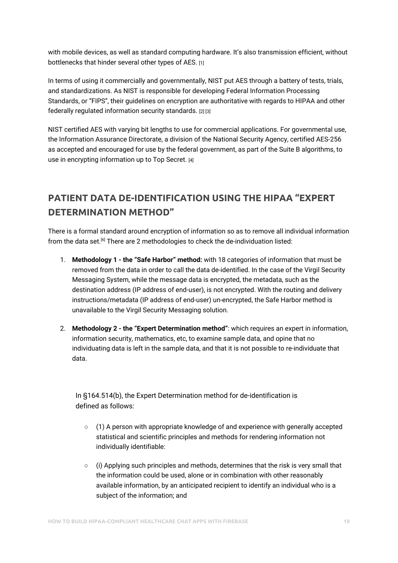with mobile devices, as well as standard computing hardware. It's also transmission efficient, without bottlenecks that hinder several other types of AES. [1]

In terms of using it commercially and governmentally, NIST put AES through a battery of tests, trials, and standardizations. As NIST is responsible for developing Federal Information Processing Standards, or "FIPS", their guidelines on encryption are authoritative with regards to HIPAA and other federally regulated information security standards. [2] [3]

NIST certified AES with varying bit lengths to use for commercial applications. For governmental use, the Information Assurance Directorate, a division of the National Security Agency, certified AES-256 as accepted and encouraged for use by the federal government, as part of the Suite B algorithms, to use in encrypting information up to Top Secret. [4]

# **PATIENT DATA DE-IDENTIFICATION USING THE HIPAA "EXPERT DETERMINATION METHOD"**

There is a formal standard around encryption of information so as to remove all individual information from the data set. [6] There are 2 methodologies to check the de-individuation listed:

- 1. **Methodology 1 - the "Safe Harbor" method:** with 18 categories of information that must be removed from the data in order to call the data de-identified. In the case of the Virgil Security Messaging System, while the message data is encrypted, the metadata, such as the destination address (IP address of end-user), is not encrypted. With the routing and delivery instructions/metadata (IP address of end-user) un-encrypted, the Safe Harbor method is unavailable to the Virgil Security Messaging solution.
- 2. **Methodology 2 - the "Expert Determination method"**: which requires an expert in information, information security, mathematics, etc, to examine sample data, and opine that no individuating data is left in the sample data, and that it is not possible to re-individuate that data.

In §164.514(b), the Expert Determination method for de-identification is defined as follows:

- (1) A person with appropriate knowledge of and experience with generally accepted statistical and scientific principles and methods for rendering information not individually identifiable:
- $\circ$  (i) Applying such principles and methods, determines that the risk is very small that the information could be used, alone or in combination with other reasonably available information, by an anticipated recipient to identify an individual who is a subject of the information; and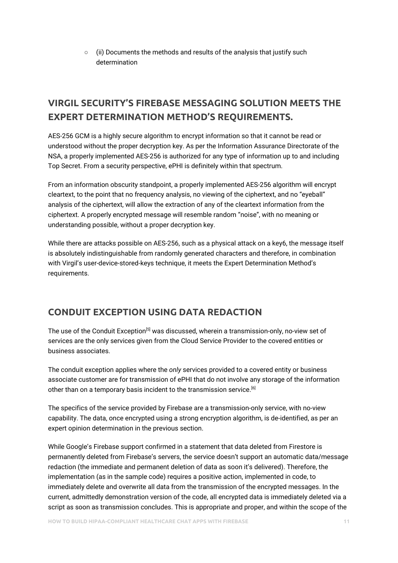$\circ$  (ii) Documents the methods and results of the analysis that justify such determination

# **VIRGIL SECURITY'S FIREBASE MESSAGING SOLUTION MEETS THE EXPERT DETERMINATION METHOD'S REQUIREMENTS.**

AES-256 GCM is a highly secure algorithm to encrypt information so that it cannot be read or understood without the proper decryption key. As per the Information Assurance Directorate of the NSA, a properly implemented AES-256 is authorized for any type of information up to and including Top Secret. From a security perspective, ePHI is definitely within that spectrum.

From an information obscurity standpoint, a properly implemented AES-256 algorithm will encrypt cleartext, to the point that no frequency analysis, no viewing of the ciphertext, and no "eyeball" analysis of the ciphertext, will allow the extraction of any of the cleartext information from the ciphertext. A properly encrypted message will resemble random "noise", with no meaning or understanding possible, without a proper decryption key.

While there are attacks possible on AES-256, such as a physical attack on a key6, the message itself is absolutely indistinguishable from randomly generated characters and therefore, in combination with Virgil's user-device-stored-keys technique, it meets the Expert Determination Method's requirements.

## **CONDUIT EXCEPTION USING DATA REDACTION**

The use of the Conduit Exception<sup>[5]</sup> was discussed, wherein a transmission-only, no-view set of services are the only services given from the Cloud Service Provider to the covered entities or business associates.

The conduit exception applies where the *only* services provided to a covered entity or business associate customer are for transmission of ePHI that do not involve any storage of the information other than on a temporary basis incident to the transmission service.<sup>[6]</sup>

The specifics of the service provided by Firebase are a transmission-only service, with no-view capability. The data, once encrypted using a strong encryption algorithm, is de-identified, as per an expert opinion determination in the previous section.

While Google's Firebase support confirmed in a statement that data deleted from Firestore is permanently deleted from Firebase's servers, the service doesn't support an automatic data/message redaction (the immediate and permanent deletion of data as soon it's delivered). Therefore, the implementation (as in the sample code) requires a positive action, implemented in code, to immediately delete and overwrite all data from the transmission of the encrypted messages. In the current, admittedly demonstration version of the code, all encrypted data is immediately deleted via a script as soon as transmission concludes. This is appropriate and proper, and within the scope of the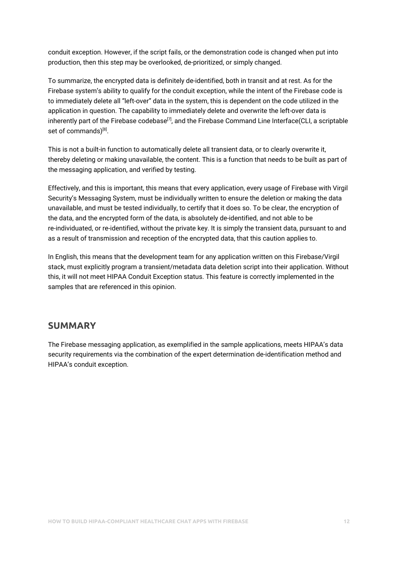conduit exception. However, if the script fails, or the demonstration code is changed when put into production, then this step may be overlooked, de-prioritized, or simply changed.

To summarize, the encrypted data is definitely de-identified, both in transit and at rest. As for the Firebase system's ability to qualify for the conduit exception, while the intent of the Firebase code is to immediately delete all "left-over" data in the system, this is dependent on the code utilized in the application in question. The capability to immediately delete and overwrite the left-over data is inherently part of the Firebase codebase $^{[7]}$ , and the Firebase Command Line Interface(CLI, a scriptable set of commands)<sup>[8]</sup>.

This is not a built-in function to automatically delete all transient data, or to clearly overwrite it, thereby deleting or making unavailable, the content. This is a function that needs to be built as part of the messaging application, and verified by testing.

Effectively, and this is important, this means that every application, every usage of Firebase with Virgil Security's Messaging System, must be individually written to ensure the deletion or making the data unavailable, and must be tested individually, to certify that it does so. To be clear, the encryption of the data, and the encrypted form of the data, is absolutely de-identified, and not able to be re-individuated, or re-identified, without the private key. It is simply the transient data, pursuant to and as a result of transmission and reception of the encrypted data, that this caution applies to.

In English, this means that the development team for any application written on this Firebase/Virgil stack, must explicitly program a transient/metadata data deletion script into their application. Without this, it will not meet HIPAA Conduit Exception status. This feature is correctly implemented in the samples that are referenced in this opinion.

#### **SUMMARY**

The Firebase messaging application, as exemplified in the sample applications, meets HIPAA's data security requirements via the combination of the expert determination de-identification method and HIPAA's conduit exception.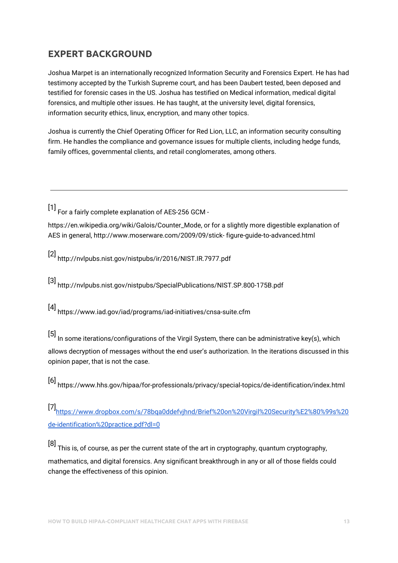# **EXPERT BACKGROUND**

Joshua Marpet is an internationally recognized Information Security and Forensics Expert. He has had testimony accepted by the Turkish Supreme court, and has been Daubert tested, been deposed and testified for forensic cases in the US. Joshua has testified on Medical information, medical digital forensics, and multiple other issues. He has taught, at the university level, digital forensics, information security ethics, linux, encryption, and many other topics.

Joshua is currently the Chief Operating Officer for Red Lion, LLC, an information security consulting firm. He handles the compliance and governance issues for multiple clients, including hedge funds, family offices, governmental clients, and retail conglomerates, among others.

[1] For a fairly complete explanation of AES-256 GCM -

https://en.wikipedia.org/wiki/Galois/Counter\_Mode, or for a slightly more digestible explanation of AES in general, http://www.moserware.com/2009/09/stick- figure-guide-to-advanced.html

[2] http://nvlpubs.nist.gov/nistpubs/ir/2016/NIST.IR.7977.pdf

[3] http://nvlpubs.nist.gov/nistpubs/SpecialPublications/NIST.SP.800-175B.pdf

[4] https://www.iad.gov/iad/programs/iad-initiatives/cnsa-suite.cfm

[5] In some iterations/configurations of the Virgil System, there can be administrative key(s), which allows decryption of messages without the end user's authorization. In the iterations discussed in this opinion paper, that is not the case.

[6] https://www.hhs.gov/hipaa/for-professionals/privacy/special-topics/de-identification/index.html

[7] [https://www.dropbox.com/s/78bqa0ddefvjhnd/Brief%20on%20Virgil%20Security%E2%80%99s%20](https://www.dropbox.com/s/78bqa0ddefvjhnd/Brief%20on%20Virgil%20Security%E2%80%99s%20de-identification%20practice.pdf?dl=0) [de-identification%20practice.pdf?dl=0](https://www.dropbox.com/s/78bqa0ddefvjhnd/Brief%20on%20Virgil%20Security%E2%80%99s%20de-identification%20practice.pdf?dl=0)

[8] This is, of course, as per the current state of the art in cryptography, quantum cryptography, mathematics, and digital forensics. Any significant breakthrough in any or all of those fields could change the effectiveness of this opinion.